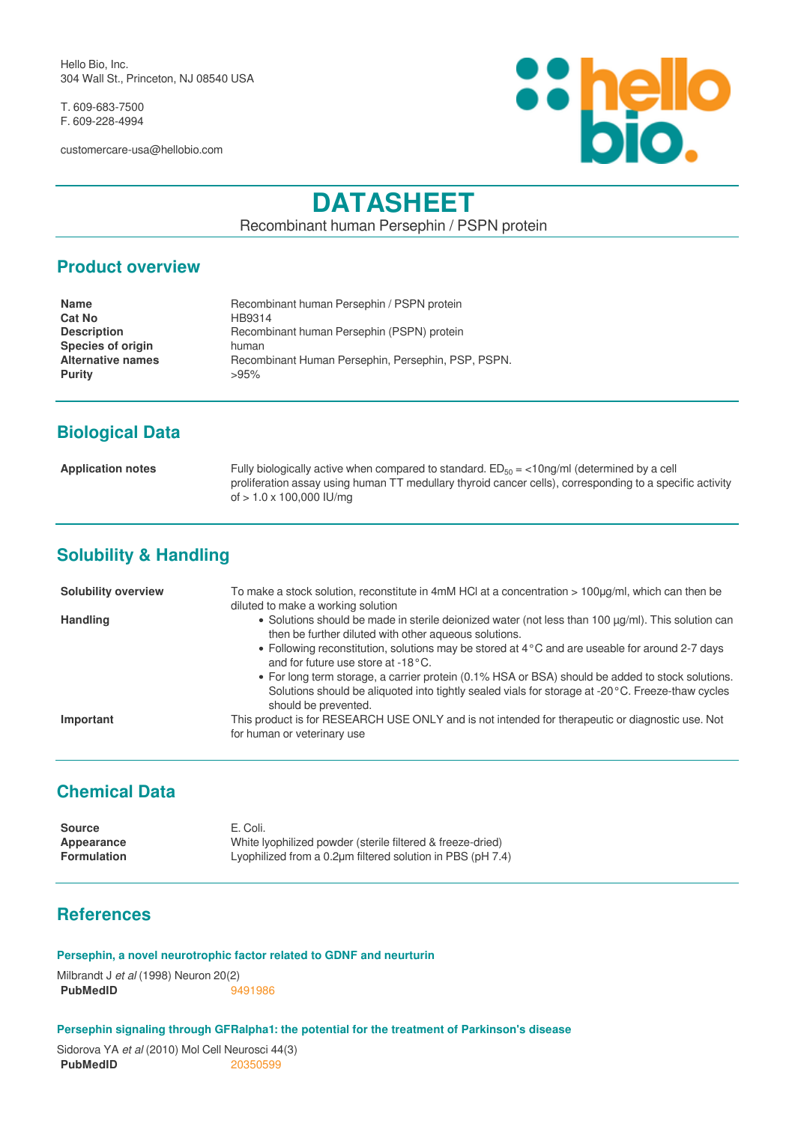Hello Bio, Inc. 304 Wall St., Princeton, NJ 08540 USA

T. 609-683-7500 F. 609-228-4994

customercare-usa@hellobio.com



# **DATASHEET**

Recombinant human Persephin / PSPN protein

#### **Product overview**

| <b>Name</b>              | Recombinant human Persephin / PSPN protein         |
|--------------------------|----------------------------------------------------|
| <b>Cat No</b>            | HB9314                                             |
| <b>Description</b>       | Recombinant human Persephin (PSPN) protein         |
| <b>Species of origin</b> | human                                              |
| <b>Alternative names</b> | Recombinant Human Persephin, Persephin, PSP, PSPN. |
| <b>Purity</b>            | >95%                                               |
|                          |                                                    |

## **Biological Data**

**Application notes** Fully biologically active when compared to standard. ED<sub>50</sub> = <10ng/ml (determined by a cell proliferation assay using human TT medullary thyroid cancer cells), corresponding to a specific activity of > 1.0 x 100,000 IU/mg

# **Solubility & Handling**

| <b>Solubility overview</b> | To make a stock solution, reconstitute in 4mM HCl at a concentration $> 100\mu q/ml$ , which can then be<br>diluted to make a working solution                                                                                                                                                                                                                                                                                                                                                                                        |
|----------------------------|---------------------------------------------------------------------------------------------------------------------------------------------------------------------------------------------------------------------------------------------------------------------------------------------------------------------------------------------------------------------------------------------------------------------------------------------------------------------------------------------------------------------------------------|
| <b>Handling</b>            | • Solutions should be made in sterile deionized water (not less than 100 µg/ml). This solution can<br>then be further diluted with other aqueous solutions.<br>• Following reconstitution, solutions may be stored at 4 °C and are useable for around 2-7 days<br>and for future use store at -18°C.<br>• For long term storage, a carrier protein (0.1% HSA or BSA) should be added to stock solutions.<br>Solutions should be aliquoted into tightly sealed vials for storage at -20 °C. Freeze-thaw cycles<br>should be prevented. |
| Important                  | This product is for RESEARCH USE ONLY and is not intended for therapeutic or diagnostic use. Not<br>for human or veterinary use                                                                                                                                                                                                                                                                                                                                                                                                       |

## **Chemical Data**

| Source             | E. Coli.                                                            |
|--------------------|---------------------------------------------------------------------|
| Appearance         | White Ivophilized powder (sterile filtered & freeze-dried)          |
| <b>Formulation</b> | Lyophilized from a $0.2 \mu m$ filtered solution in PBS (pH $7.4$ ) |

### **References**

#### **Persephin, a novel neurotrophic factor related to GDNF and neurturin**

Milbrandt J *et al* (1998) Neuron 20(2) **PubMedID** [9491986](https://www.ncbi.nlm.nih.gov/pubmed/9491986)

#### **Persephin signaling through GFRalpha1: the potential for the treatment of Parkinson's disease**

Sidorova YA *et al* (2010) Mol Cell Neurosci 44(3) **PubMedID** [20350599](https://www.ncbi.nlm.nih.gov/pubmed/20350599)